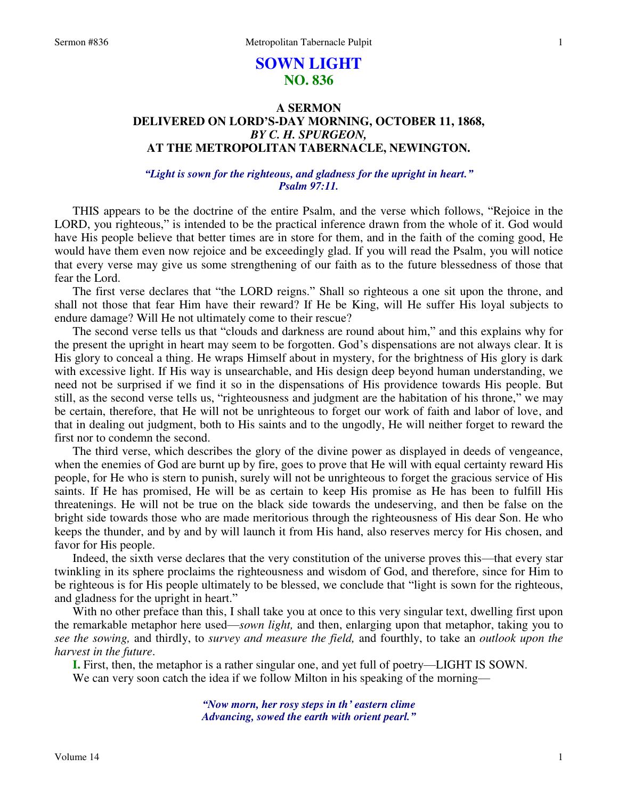### 1

# **SOWN LIGHT NO. 836**

# **A SERMON DELIVERED ON LORD'S-DAY MORNING, OCTOBER 11, 1868,**  *BY C. H. SPURGEON,*  **AT THE METROPOLITAN TABERNACLE, NEWINGTON.**

### *"Light is sown for the righteous, and gladness for the upright in heart." Psalm 97:11.*

THIS appears to be the doctrine of the entire Psalm, and the verse which follows, "Rejoice in the LORD, you righteous," is intended to be the practical inference drawn from the whole of it. God would have His people believe that better times are in store for them, and in the faith of the coming good, He would have them even now rejoice and be exceedingly glad. If you will read the Psalm, you will notice that every verse may give us some strengthening of our faith as to the future blessedness of those that fear the Lord.

 The first verse declares that "the LORD reigns." Shall so righteous a one sit upon the throne, and shall not those that fear Him have their reward? If He be King, will He suffer His loyal subjects to endure damage? Will He not ultimately come to their rescue?

The second verse tells us that "clouds and darkness are round about him," and this explains why for the present the upright in heart may seem to be forgotten. God's dispensations are not always clear. It is His glory to conceal a thing. He wraps Himself about in mystery, for the brightness of His glory is dark with excessive light. If His way is unsearchable, and His design deep beyond human understanding, we need not be surprised if we find it so in the dispensations of His providence towards His people. But still, as the second verse tells us, "righteousness and judgment are the habitation of his throne," we may be certain, therefore, that He will not be unrighteous to forget our work of faith and labor of love, and that in dealing out judgment, both to His saints and to the ungodly, He will neither forget to reward the first nor to condemn the second.

 The third verse, which describes the glory of the divine power as displayed in deeds of vengeance, when the enemies of God are burnt up by fire, goes to prove that He will with equal certainty reward His people, for He who is stern to punish, surely will not be unrighteous to forget the gracious service of His saints. If He has promised, He will be as certain to keep His promise as He has been to fulfill His threatenings. He will not be true on the black side towards the undeserving, and then be false on the bright side towards those who are made meritorious through the righteousness of His dear Son. He who keeps the thunder, and by and by will launch it from His hand, also reserves mercy for His chosen, and favor for His people.

 Indeed, the sixth verse declares that the very constitution of the universe proves this—that every star twinkling in its sphere proclaims the righteousness and wisdom of God, and therefore, since for Him to be righteous is for His people ultimately to be blessed, we conclude that "light is sown for the righteous, and gladness for the upright in heart."

With no other preface than this, I shall take you at once to this very singular text, dwelling first upon the remarkable metaphor here used—*sown light,* and then, enlarging upon that metaphor, taking you to *see the sowing,* and thirdly, to *survey and measure the field,* and fourthly, to take an *outlook upon the harvest in the future*.

**I.** First, then, the metaphor is a rather singular one, and yet full of poetry—LIGHT IS SOWN. We can very soon catch the idea if we follow Milton in his speaking of the morning—

> *"Now morn, her rosy steps in th' eastern clime Advancing, sowed the earth with orient pearl."*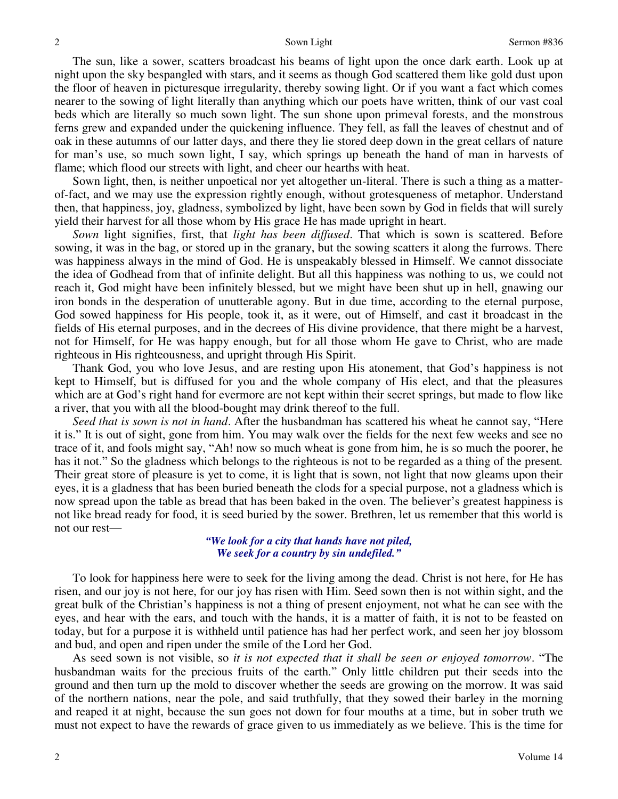The sun, like a sower, scatters broadcast his beams of light upon the once dark earth. Look up at night upon the sky bespangled with stars, and it seems as though God scattered them like gold dust upon the floor of heaven in picturesque irregularity, thereby sowing light. Or if you want a fact which comes nearer to the sowing of light literally than anything which our poets have written, think of our vast coal beds which are literally so much sown light. The sun shone upon primeval forests, and the monstrous ferns grew and expanded under the quickening influence. They fell, as fall the leaves of chestnut and of oak in these autumns of our latter days, and there they lie stored deep down in the great cellars of nature for man's use, so much sown light, I say, which springs up beneath the hand of man in harvests of flame; which flood our streets with light, and cheer our hearths with heat.

 Sown light, then, is neither unpoetical nor yet altogether un-literal. There is such a thing as a matterof-fact, and we may use the expression rightly enough, without grotesqueness of metaphor. Understand then, that happiness, joy, gladness, symbolized by light, have been sown by God in fields that will surely yield their harvest for all those whom by His grace He has made upright in heart.

*Sown* light signifies, first, that *light has been diffused*. That which is sown is scattered. Before sowing, it was in the bag, or stored up in the granary, but the sowing scatters it along the furrows. There was happiness always in the mind of God. He is unspeakably blessed in Himself. We cannot dissociate the idea of Godhead from that of infinite delight. But all this happiness was nothing to us, we could not reach it, God might have been infinitely blessed, but we might have been shut up in hell, gnawing our iron bonds in the desperation of unutterable agony. But in due time, according to the eternal purpose, God sowed happiness for His people, took it, as it were, out of Himself, and cast it broadcast in the fields of His eternal purposes, and in the decrees of His divine providence, that there might be a harvest, not for Himself, for He was happy enough, but for all those whom He gave to Christ, who are made righteous in His righteousness, and upright through His Spirit.

 Thank God, you who love Jesus, and are resting upon His atonement, that God's happiness is not kept to Himself, but is diffused for you and the whole company of His elect, and that the pleasures which are at God's right hand for evermore are not kept within their secret springs, but made to flow like a river, that you with all the blood-bought may drink thereof to the full.

*Seed that is sown is not in hand*. After the husbandman has scattered his wheat he cannot say, "Here it is." It is out of sight, gone from him. You may walk over the fields for the next few weeks and see no trace of it, and fools might say, "Ah! now so much wheat is gone from him, he is so much the poorer, he has it not." So the gladness which belongs to the righteous is not to be regarded as a thing of the present*.* Their great store of pleasure is yet to come, it is light that is sown, not light that now gleams upon their eyes, it is a gladness that has been buried beneath the clods for a special purpose, not a gladness which is now spread upon the table as bread that has been baked in the oven. The believer's greatest happiness is not like bread ready for food, it is seed buried by the sower. Brethren, let us remember that this world is not our rest—

### *"We look for a city that hands have not piled, We seek for a country by sin undefiled."*

 To look for happiness here were to seek for the living among the dead. Christ is not here, for He has risen, and our joy is not here, for our joy has risen with Him. Seed sown then is not within sight, and the great bulk of the Christian's happiness is not a thing of present enjoyment, not what he can see with the eyes, and hear with the ears, and touch with the hands, it is a matter of faith, it is not to be feasted on today, but for a purpose it is withheld until patience has had her perfect work, and seen her joy blossom and bud, and open and ripen under the smile of the Lord her God.

 As seed sown is not visible, so *it is not expected that it shall be seen or enjoyed tomorrow*. "The husbandman waits for the precious fruits of the earth." Only little children put their seeds into the ground and then turn up the mold to discover whether the seeds are growing on the morrow. It was said of the northern nations, near the pole, and said truthfully, that they sowed their barley in the morning and reaped it at night, because the sun goes not down for four mouths at a time, but in sober truth we must not expect to have the rewards of grace given to us immediately as we believe. This is the time for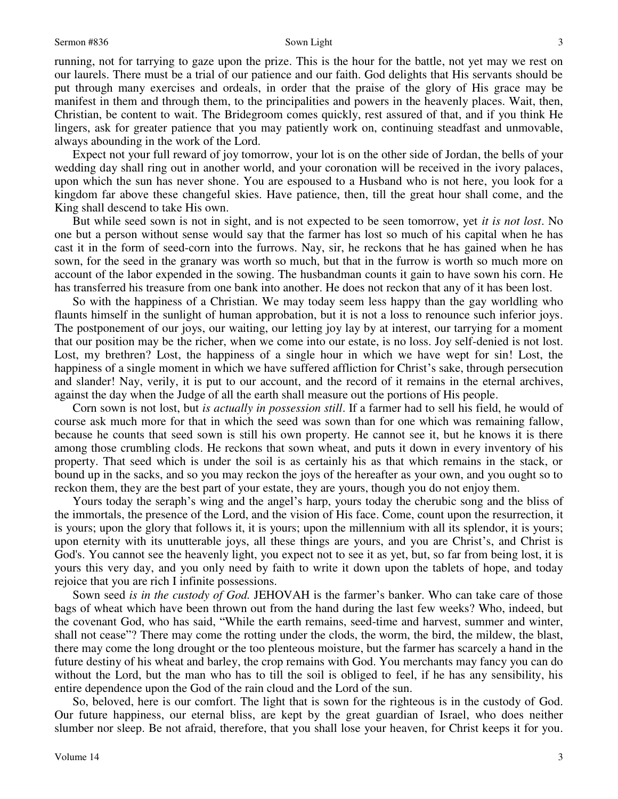running, not for tarrying to gaze upon the prize. This is the hour for the battle, not yet may we rest on our laurels. There must be a trial of our patience and our faith. God delights that His servants should be put through many exercises and ordeals, in order that the praise of the glory of His grace may be manifest in them and through them, to the principalities and powers in the heavenly places. Wait, then, Christian, be content to wait. The Bridegroom comes quickly, rest assured of that, and if you think He lingers, ask for greater patience that you may patiently work on, continuing steadfast and unmovable, always abounding in the work of the Lord.

 Expect not your full reward of joy tomorrow, your lot is on the other side of Jordan, the bells of your wedding day shall ring out in another world, and your coronation will be received in the ivory palaces, upon which the sun has never shone. You are espoused to a Husband who is not here, you look for a kingdom far above these changeful skies. Have patience, then, till the great hour shall come, and the King shall descend to take His own.

 But while seed sown is not in sight, and is not expected to be seen tomorrow, yet *it is not lost*. No one but a person without sense would say that the farmer has lost so much of his capital when he has cast it in the form of seed-corn into the furrows. Nay, sir, he reckons that he has gained when he has sown, for the seed in the granary was worth so much, but that in the furrow is worth so much more on account of the labor expended in the sowing. The husbandman counts it gain to have sown his corn. He has transferred his treasure from one bank into another. He does not reckon that any of it has been lost.

 So with the happiness of a Christian. We may today seem less happy than the gay worldling who flaunts himself in the sunlight of human approbation, but it is not a loss to renounce such inferior joys. The postponement of our joys, our waiting, our letting joy lay by at interest, our tarrying for a moment that our position may be the richer, when we come into our estate, is no loss. Joy self-denied is not lost. Lost, my brethren? Lost, the happiness of a single hour in which we have wept for sin! Lost, the happiness of a single moment in which we have suffered affliction for Christ's sake, through persecution and slander! Nay, verily, it is put to our account, and the record of it remains in the eternal archives, against the day when the Judge of all the earth shall measure out the portions of His people.

 Corn sown is not lost, but *is actually in possession still*. If a farmer had to sell his field, he would of course ask much more for that in which the seed was sown than for one which was remaining fallow, because he counts that seed sown is still his own property. He cannot see it, but he knows it is there among those crumbling clods. He reckons that sown wheat, and puts it down in every inventory of his property. That seed which is under the soil is as certainly his as that which remains in the stack, or bound up in the sacks, and so you may reckon the joys of the hereafter as your own, and you ought so to reckon them, they are the best part of your estate, they are yours, though you do not enjoy them.

 Yours today the seraph's wing and the angel's harp, yours today the cherubic song and the bliss of the immortals, the presence of the Lord, and the vision of His face. Come, count upon the resurrection, it is yours; upon the glory that follows it, it is yours; upon the millennium with all its splendor, it is yours; upon eternity with its unutterable joys, all these things are yours, and you are Christ's, and Christ is God's. You cannot see the heavenly light, you expect not to see it as yet, but, so far from being lost, it is yours this very day, and you only need by faith to write it down upon the tablets of hope, and today rejoice that you are rich I infinite possessions.

 Sown seed *is in the custody of God.* JEHOVAH is the farmer's banker. Who can take care of those bags of wheat which have been thrown out from the hand during the last few weeks? Who, indeed, but the covenant God, who has said, "While the earth remains, seed-time and harvest, summer and winter, shall not cease"? There may come the rotting under the clods, the worm, the bird, the mildew, the blast, there may come the long drought or the too plenteous moisture, but the farmer has scarcely a hand in the future destiny of his wheat and barley, the crop remains with God. You merchants may fancy you can do without the Lord, but the man who has to till the soil is obliged to feel, if he has any sensibility, his entire dependence upon the God of the rain cloud and the Lord of the sun.

 So, beloved, here is our comfort. The light that is sown for the righteous is in the custody of God. Our future happiness, our eternal bliss, are kept by the great guardian of Israel, who does neither slumber nor sleep. Be not afraid, therefore, that you shall lose your heaven, for Christ keeps it for you.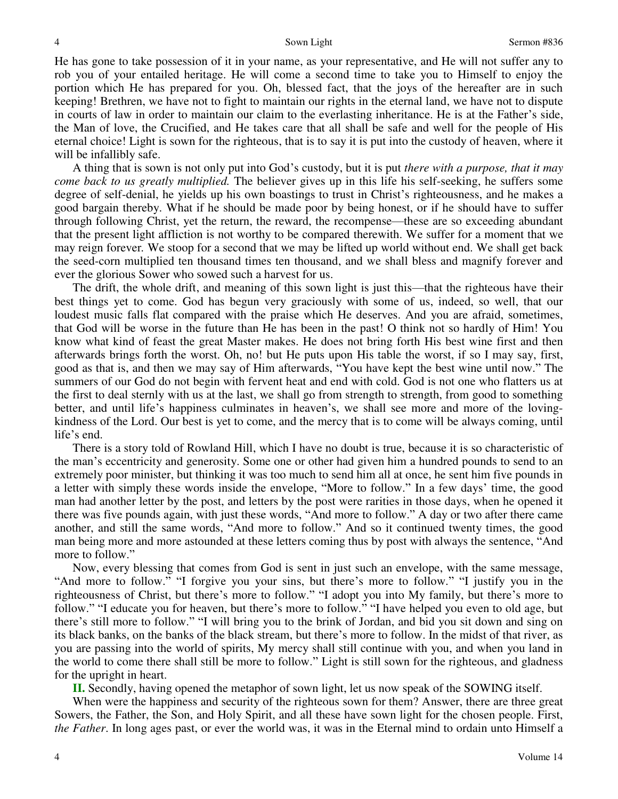He has gone to take possession of it in your name, as your representative, and He will not suffer any to rob you of your entailed heritage. He will come a second time to take you to Himself to enjoy the portion which He has prepared for you. Oh, blessed fact, that the joys of the hereafter are in such keeping! Brethren, we have not to fight to maintain our rights in the eternal land, we have not to dispute in courts of law in order to maintain our claim to the everlasting inheritance. He is at the Father's side, the Man of love, the Crucified, and He takes care that all shall be safe and well for the people of His eternal choice! Light is sown for the righteous, that is to say it is put into the custody of heaven, where it will be infallibly safe.

 A thing that is sown is not only put into God's custody, but it is put *there with a purpose, that it may come back to us greatly multiplied.* The believer gives up in this life his self-seeking, he suffers some degree of self-denial, he yields up his own boastings to trust in Christ's righteousness, and he makes a good bargain thereby. What if he should be made poor by being honest, or if he should have to suffer through following Christ, yet the return, the reward, the recompense—these are so exceeding abundant that the present light affliction is not worthy to be compared therewith. We suffer for a moment that we may reign forever*.* We stoop for a second that we may be lifted up world without end. We shall get back the seed-corn multiplied ten thousand times ten thousand, and we shall bless and magnify forever and ever the glorious Sower who sowed such a harvest for us.

 The drift, the whole drift, and meaning of this sown light is just this—that the righteous have their best things yet to come. God has begun very graciously with some of us, indeed, so well, that our loudest music falls flat compared with the praise which He deserves. And you are afraid, sometimes, that God will be worse in the future than He has been in the past! O think not so hardly of Him! You know what kind of feast the great Master makes. He does not bring forth His best wine first and then afterwards brings forth the worst. Oh, no! but He puts upon His table the worst, if so I may say, first, good as that is, and then we may say of Him afterwards, "You have kept the best wine until now." The summers of our God do not begin with fervent heat and end with cold. God is not one who flatters us at the first to deal sternly with us at the last, we shall go from strength to strength, from good to something better, and until life's happiness culminates in heaven's, we shall see more and more of the lovingkindness of the Lord. Our best is yet to come, and the mercy that is to come will be always coming, until life's end.

 There is a story told of Rowland Hill, which I have no doubt is true, because it is so characteristic of the man's eccentricity and generosity. Some one or other had given him a hundred pounds to send to an extremely poor minister, but thinking it was too much to send him all at once, he sent him five pounds in a letter with simply these words inside the envelope, "More to follow." In a few days' time, the good man had another letter by the post, and letters by the post were rarities in those days, when he opened it there was five pounds again, with just these words, "And more to follow." A day or two after there came another, and still the same words, "And more to follow." And so it continued twenty times, the good man being more and more astounded at these letters coming thus by post with always the sentence, "And more to follow."

 Now, every blessing that comes from God is sent in just such an envelope, with the same message, "And more to follow." "I forgive you your sins, but there's more to follow." "I justify you in the righteousness of Christ, but there's more to follow." "I adopt you into My family, but there's more to follow." "I educate you for heaven, but there's more to follow." "I have helped you even to old age, but there's still more to follow." "I will bring you to the brink of Jordan, and bid you sit down and sing on its black banks, on the banks of the black stream, but there's more to follow. In the midst of that river, as you are passing into the world of spirits, My mercy shall still continue with you, and when you land in the world to come there shall still be more to follow." Light is still sown for the righteous, and gladness for the upright in heart.

**II.** Secondly, having opened the metaphor of sown light, let us now speak of the SOWING itself.

 When were the happiness and security of the righteous sown for them? Answer, there are three great Sowers, the Father, the Son, and Holy Spirit, and all these have sown light for the chosen people. First, *the Father*. In long ages past, or ever the world was, it was in the Eternal mind to ordain unto Himself a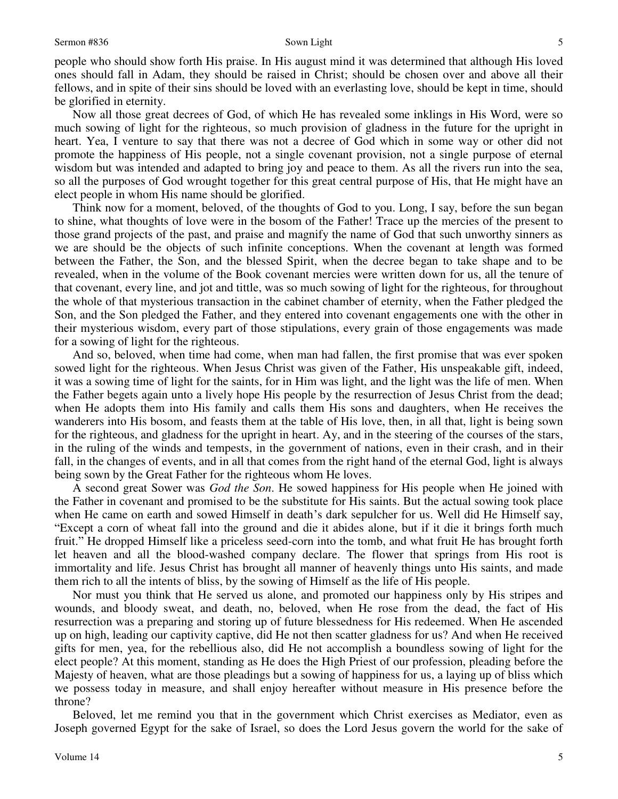people who should show forth His praise. In His august mind it was determined that although His loved ones should fall in Adam, they should be raised in Christ; should be chosen over and above all their fellows, and in spite of their sins should be loved with an everlasting love, should be kept in time, should be glorified in eternity.

 Now all those great decrees of God, of which He has revealed some inklings in His Word, were so much sowing of light for the righteous, so much provision of gladness in the future for the upright in heart. Yea, I venture to say that there was not a decree of God which in some way or other did not promote the happiness of His people, not a single covenant provision, not a single purpose of eternal wisdom but was intended and adapted to bring joy and peace to them. As all the rivers run into the sea, so all the purposes of God wrought together for this great central purpose of His, that He might have an elect people in whom His name should be glorified.

 Think now for a moment, beloved, of the thoughts of God to you. Long, I say, before the sun began to shine, what thoughts of love were in the bosom of the Father! Trace up the mercies of the present to those grand projects of the past, and praise and magnify the name of God that such unworthy sinners as we are should be the objects of such infinite conceptions. When the covenant at length was formed between the Father, the Son, and the blessed Spirit, when the decree began to take shape and to be revealed, when in the volume of the Book covenant mercies were written down for us, all the tenure of that covenant, every line, and jot and tittle, was so much sowing of light for the righteous, for throughout the whole of that mysterious transaction in the cabinet chamber of eternity, when the Father pledged the Son, and the Son pledged the Father, and they entered into covenant engagements one with the other in their mysterious wisdom, every part of those stipulations, every grain of those engagements was made for a sowing of light for the righteous.

 And so, beloved, when time had come, when man had fallen, the first promise that was ever spoken sowed light for the righteous. When Jesus Christ was given of the Father, His unspeakable gift, indeed, it was a sowing time of light for the saints, for in Him was light, and the light was the life of men. When the Father begets again unto a lively hope His people by the resurrection of Jesus Christ from the dead; when He adopts them into His family and calls them His sons and daughters, when He receives the wanderers into His bosom, and feasts them at the table of His love, then, in all that, light is being sown for the righteous, and gladness for the upright in heart. Ay, and in the steering of the courses of the stars, in the ruling of the winds and tempests, in the government of nations, even in their crash, and in their fall, in the changes of events, and in all that comes from the right hand of the eternal God, light is always being sown by the Great Father for the righteous whom He loves.

 A second great Sower was *God the Son*. He sowed happiness for His people when He joined with the Father in covenant and promised to be the substitute for His saints. But the actual sowing took place when He came on earth and sowed Himself in death's dark sepulcher for us. Well did He Himself say, "Except a corn of wheat fall into the ground and die it abides alone, but if it die it brings forth much fruit." He dropped Himself like a priceless seed-corn into the tomb, and what fruit He has brought forth let heaven and all the blood-washed company declare. The flower that springs from His root is immortality and life. Jesus Christ has brought all manner of heavenly things unto His saints, and made them rich to all the intents of bliss, by the sowing of Himself as the life of His people.

 Nor must you think that He served us alone, and promoted our happiness only by His stripes and wounds, and bloody sweat, and death, no, beloved, when He rose from the dead, the fact of His resurrection was a preparing and storing up of future blessedness for His redeemed. When He ascended up on high, leading our captivity captive, did He not then scatter gladness for us? And when He received gifts for men, yea, for the rebellious also, did He not accomplish a boundless sowing of light for the elect people? At this moment, standing as He does the High Priest of our profession, pleading before the Majesty of heaven, what are those pleadings but a sowing of happiness for us, a laying up of bliss which we possess today in measure, and shall enjoy hereafter without measure in His presence before the throne?

 Beloved, let me remind you that in the government which Christ exercises as Mediator, even as Joseph governed Egypt for the sake of Israel, so does the Lord Jesus govern the world for the sake of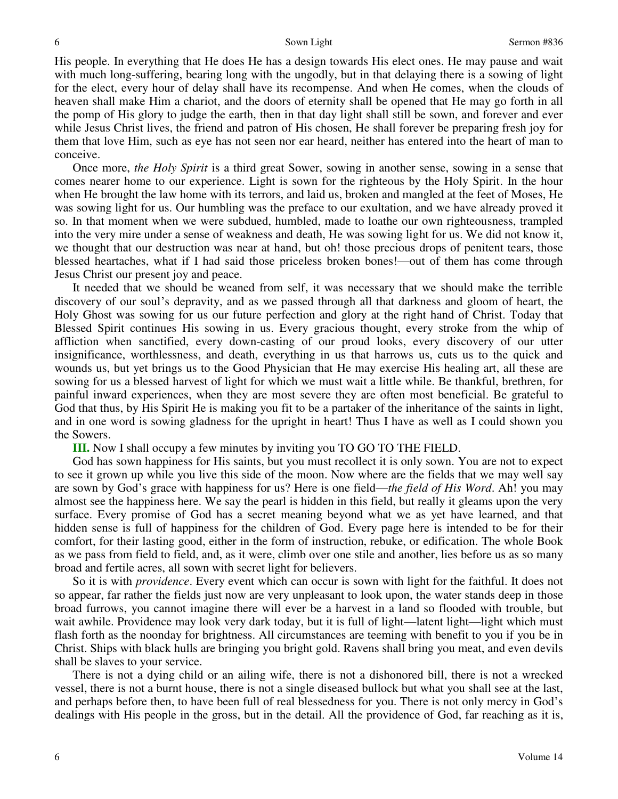His people. In everything that He does He has a design towards His elect ones. He may pause and wait with much long-suffering, bearing long with the ungodly, but in that delaying there is a sowing of light for the elect, every hour of delay shall have its recompense. And when He comes, when the clouds of heaven shall make Him a chariot, and the doors of eternity shall be opened that He may go forth in all the pomp of His glory to judge the earth, then in that day light shall still be sown, and forever and ever while Jesus Christ lives, the friend and patron of His chosen, He shall forever be preparing fresh joy for them that love Him, such as eye has not seen nor ear heard, neither has entered into the heart of man to conceive.

 Once more, *the Holy Spirit* is a third great Sower, sowing in another sense, sowing in a sense that comes nearer home to our experience. Light is sown for the righteous by the Holy Spirit. In the hour when He brought the law home with its terrors, and laid us, broken and mangled at the feet of Moses, He was sowing light for us. Our humbling was the preface to our exultation, and we have already proved it so. In that moment when we were subdued, humbled, made to loathe our own righteousness, trampled into the very mire under a sense of weakness and death, He was sowing light for us. We did not know it, we thought that our destruction was near at hand, but oh! those precious drops of penitent tears, those blessed heartaches, what if I had said those priceless broken bones!—out of them has come through Jesus Christ our present joy and peace.

It needed that we should be weaned from self, it was necessary that we should make the terrible discovery of our soul's depravity, and as we passed through all that darkness and gloom of heart, the Holy Ghost was sowing for us our future perfection and glory at the right hand of Christ. Today that Blessed Spirit continues His sowing in us. Every gracious thought, every stroke from the whip of affliction when sanctified, every down-casting of our proud looks, every discovery of our utter insignificance, worthlessness, and death, everything in us that harrows us, cuts us to the quick and wounds us, but yet brings us to the Good Physician that He may exercise His healing art, all these are sowing for us a blessed harvest of light for which we must wait a little while. Be thankful, brethren, for painful inward experiences, when they are most severe they are often most beneficial. Be grateful to God that thus, by His Spirit He is making you fit to be a partaker of the inheritance of the saints in light, and in one word is sowing gladness for the upright in heart! Thus I have as well as I could shown you the Sowers.

**III.** Now I shall occupy a few minutes by inviting you TO GO TO THE FIELD.

 God has sown happiness for His saints, but you must recollect it is only sown. You are not to expect to see it grown up while you live this side of the moon. Now where are the fields that we may well say are sown by God's grace with happiness for us? Here is one field—*the field of His Word*. Ah! you may almost see the happiness here. We say the pearl is hidden in this field, but really it gleams upon the very surface. Every promise of God has a secret meaning beyond what we as yet have learned, and that hidden sense is full of happiness for the children of God. Every page here is intended to be for their comfort, for their lasting good, either in the form of instruction, rebuke, or edification. The whole Book as we pass from field to field, and, as it were, climb over one stile and another, lies before us as so many broad and fertile acres, all sown with secret light for believers.

 So it is with *providence*. Every event which can occur is sown with light for the faithful. It does not so appear, far rather the fields just now are very unpleasant to look upon, the water stands deep in those broad furrows, you cannot imagine there will ever be a harvest in a land so flooded with trouble, but wait awhile. Providence may look very dark today, but it is full of light—latent light—light which must flash forth as the noonday for brightness. All circumstances are teeming with benefit to you if you be in Christ. Ships with black hulls are bringing you bright gold. Ravens shall bring you meat, and even devils shall be slaves to your service.

 There is not a dying child or an ailing wife, there is not a dishonored bill, there is not a wrecked vessel, there is not a burnt house, there is not a single diseased bullock but what you shall see at the last, and perhaps before then, to have been full of real blessedness for you. There is not only mercy in God's dealings with His people in the gross, but in the detail. All the providence of God, far reaching as it is,

6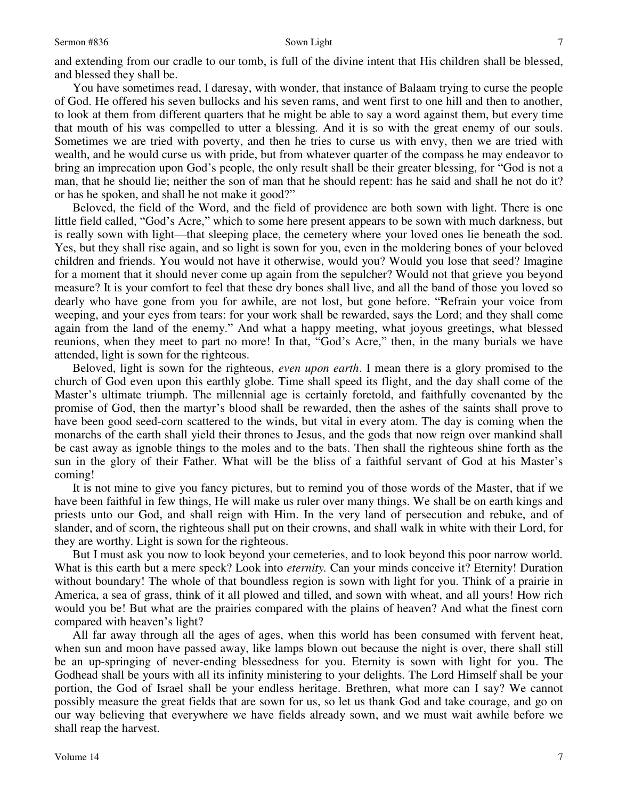and extending from our cradle to our tomb, is full of the divine intent that His children shall be blessed, and blessed they shall be.

 You have sometimes read, I daresay, with wonder, that instance of Balaam trying to curse the people of God. He offered his seven bullocks and his seven rams, and went first to one hill and then to another, to look at them from different quarters that he might be able to say a word against them, but every time that mouth of his was compelled to utter a blessing*.* And it is so with the great enemy of our souls. Sometimes we are tried with poverty, and then he tries to curse us with envy, then we are tried with wealth, and he would curse us with pride, but from whatever quarter of the compass he may endeavor to bring an imprecation upon God's people, the only result shall be their greater blessing, for "God is not a man, that he should lie; neither the son of man that he should repent: has he said and shall he not do it? or has he spoken, and shall he not make it good?"

 Beloved, the field of the Word, and the field of providence are both sown with light. There is one little field called, "God's Acre," which to some here present appears to be sown with much darkness, but is really sown with light—that sleeping place, the cemetery where your loved ones lie beneath the sod. Yes, but they shall rise again, and so light is sown for you, even in the moldering bones of your beloved children and friends. You would not have it otherwise, would you? Would you lose that seed? Imagine for a moment that it should never come up again from the sepulcher? Would not that grieve you beyond measure? It is your comfort to feel that these dry bones shall live, and all the band of those you loved so dearly who have gone from you for awhile, are not lost, but gone before. "Refrain your voice from weeping, and your eyes from tears: for your work shall be rewarded, says the Lord; and they shall come again from the land of the enemy." And what a happy meeting, what joyous greetings, what blessed reunions, when they meet to part no more! In that, "God's Acre," then, in the many burials we have attended, light is sown for the righteous.

 Beloved, light is sown for the righteous, *even upon earth*. I mean there is a glory promised to the church of God even upon this earthly globe. Time shall speed its flight, and the day shall come of the Master's ultimate triumph. The millennial age is certainly foretold, and faithfully covenanted by the promise of God, then the martyr's blood shall be rewarded, then the ashes of the saints shall prove to have been good seed-corn scattered to the winds, but vital in every atom. The day is coming when the monarchs of the earth shall yield their thrones to Jesus, and the gods that now reign over mankind shall be cast away as ignoble things to the moles and to the bats. Then shall the righteous shine forth as the sun in the glory of their Father. What will be the bliss of a faithful servant of God at his Master's coming!

 It is not mine to give you fancy pictures, but to remind you of those words of the Master, that if we have been faithful in few things, He will make us ruler over many things. We shall be on earth kings and priests unto our God, and shall reign with Him. In the very land of persecution and rebuke, and of slander, and of scorn, the righteous shall put on their crowns, and shall walk in white with their Lord, for they are worthy. Light is sown for the righteous.

 But I must ask you now to look beyond your cemeteries, and to look beyond this poor narrow world. What is this earth but a mere speck? Look into *eternity.* Can your minds conceive it? Eternity! Duration without boundary! The whole of that boundless region is sown with light for you. Think of a prairie in America, a sea of grass, think of it all plowed and tilled, and sown with wheat, and all yours! How rich would you be! But what are the prairies compared with the plains of heaven? And what the finest corn compared with heaven's light?

 All far away through all the ages of ages, when this world has been consumed with fervent heat, when sun and moon have passed away, like lamps blown out because the night is over, there shall still be an up-springing of never-ending blessedness for you. Eternity is sown with light for you. The Godhead shall be yours with all its infinity ministering to your delights. The Lord Himself shall be your portion, the God of Israel shall be your endless heritage. Brethren, what more can I say? We cannot possibly measure the great fields that are sown for us, so let us thank God and take courage, and go on our way believing that everywhere we have fields already sown, and we must wait awhile before we shall reap the harvest.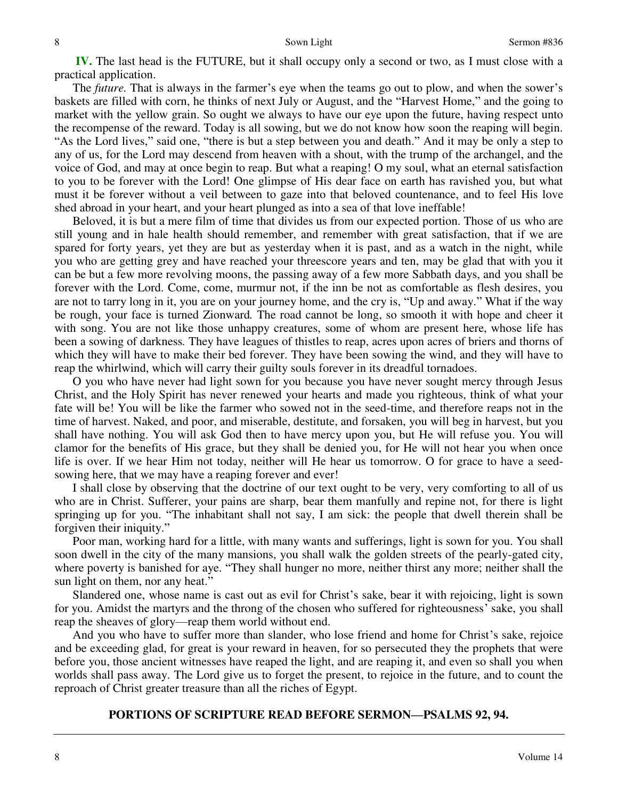**IV.** The last head is the FUTURE, but it shall occupy only a second or two, as I must close with a practical application.

 The *future.* That is always in the farmer's eye when the teams go out to plow, and when the sower's baskets are filled with corn, he thinks of next July or August, and the "Harvest Home," and the going to market with the yellow grain. So ought we always to have our eye upon the future, having respect unto the recompense of the reward. Today is all sowing, but we do not know how soon the reaping will begin. "As the Lord lives," said one, "there is but a step between you and death." And it may be only a step to any of us, for the Lord may descend from heaven with a shout, with the trump of the archangel, and the voice of God, and may at once begin to reap. But what a reaping! O my soul, what an eternal satisfaction to you to be forever with the Lord! One glimpse of His dear face on earth has ravished you, but what must it be forever without a veil between to gaze into that beloved countenance, and to feel His love shed abroad in your heart, and your heart plunged as into a sea of that love ineffable!

 Beloved, it is but a mere film of time that divides us from our expected portion. Those of us who are still young and in hale health should remember, and remember with great satisfaction, that if we are spared for forty years, yet they are but as yesterday when it is past, and as a watch in the night, while you who are getting grey and have reached your threescore years and ten, may be glad that with you it can be but a few more revolving moons, the passing away of a few more Sabbath days, and you shall be forever with the Lord. Come, come, murmur not, if the inn be not as comfortable as flesh desires, you are not to tarry long in it, you are on your journey home, and the cry is, "Up and away." What if the way be rough, your face is turned Zionward*.* The road cannot be long, so smooth it with hope and cheer it with song. You are not like those unhappy creatures, some of whom are present here, whose life has been a sowing of darkness*.* They have leagues of thistles to reap, acres upon acres of briers and thorns of which they will have to make their bed forever. They have been sowing the wind, and they will have to reap the whirlwind, which will carry their guilty souls forever in its dreadful tornadoes.

 O you who have never had light sown for you because you have never sought mercy through Jesus Christ, and the Holy Spirit has never renewed your hearts and made you righteous, think of what your fate will be! You will be like the farmer who sowed not in the seed-time, and therefore reaps not in the time of harvest. Naked, and poor, and miserable, destitute, and forsaken, you will beg in harvest, but you shall have nothing. You will ask God then to have mercy upon you, but He will refuse you. You will clamor for the benefits of His grace, but they shall be denied you, for He will not hear you when once life is over. If we hear Him not today, neither will He hear us tomorrow. O for grace to have a seedsowing here, that we may have a reaping forever and ever!

 I shall close by observing that the doctrine of our text ought to be very, very comforting to all of us who are in Christ. Sufferer, your pains are sharp, bear them manfully and repine not, for there is light springing up for you. "The inhabitant shall not say, I am sick: the people that dwell therein shall be forgiven their iniquity."

 Poor man, working hard for a little, with many wants and sufferings, light is sown for you. You shall soon dwell in the city of the many mansions, you shall walk the golden streets of the pearly-gated city, where poverty is banished for aye. "They shall hunger no more, neither thirst any more; neither shall the sun light on them, nor any heat."

 Slandered one, whose name is cast out as evil for Christ's sake, bear it with rejoicing, light is sown for you. Amidst the martyrs and the throng of the chosen who suffered for righteousness' sake, you shall reap the sheaves of glory—reap them world without end.

 And you who have to suffer more than slander, who lose friend and home for Christ's sake, rejoice and be exceeding glad, for great is your reward in heaven, for so persecuted they the prophets that were before you, those ancient witnesses have reaped the light, and are reaping it, and even so shall you when worlds shall pass away. The Lord give us to forget the present, to rejoice in the future, and to count the reproach of Christ greater treasure than all the riches of Egypt.

## **PORTIONS OF SCRIPTURE READ BEFORE SERMON—PSALMS 92, 94.**